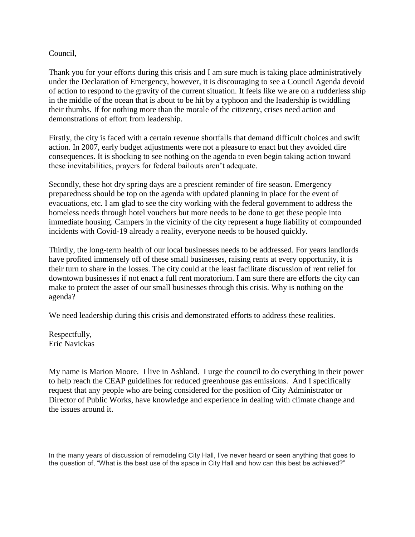## Council,

Thank you for your efforts during this crisis and I am sure much is taking place administratively under the Declaration of Emergency, however, it is discouraging to see a Council Agenda devoid of action to respond to the gravity of the current situation. It feels like we are on a rudderless ship in the middle of the ocean that is about to be hit by a typhoon and the leadership is twiddling their thumbs. If for nothing more than the morale of the citizenry, crises need action and demonstrations of effort from leadership.

Firstly, the city is faced with a certain revenue shortfalls that demand difficult choices and swift action. In 2007, early budget adjustments were not a pleasure to enact but they avoided dire consequences. It is shocking to see nothing on the agenda to even begin taking action toward these inevitabilities, prayers for federal bailouts aren't adequate.

Secondly, these hot dry spring days are a prescient reminder of fire season. Emergency preparedness should be top on the agenda with updated planning in place for the event of evacuations, etc. I am glad to see the city working with the federal government to address the homeless needs through hotel vouchers but more needs to be done to get these people into immediate housing. Campers in the vicinity of the city represent a huge liability of compounded incidents with Covid-19 already a reality, everyone needs to be housed quickly.

Thirdly, the long-term health of our local businesses needs to be addressed. For years landlords have profited immensely off of these small businesses, raising rents at every opportunity, it is their turn to share in the losses. The city could at the least facilitate discussion of rent relief for downtown businesses if not enact a full rent moratorium. I am sure there are efforts the city can make to protect the asset of our small businesses through this crisis. Why is nothing on the agenda?

We need leadership during this crisis and demonstrated efforts to address these realities.

Respectfully, Eric Navickas

My name is Marion Moore. I live in Ashland. I urge the council to do everything in their power to help reach the CEAP guidelines for reduced greenhouse gas emissions. And I specifically request that any people who are being considered for the position of City Administrator or Director of Public Works, have knowledge and experience in dealing with climate change and the issues around it.

In the many years of discussion of remodeling City Hall, I've never heard or seen anything that goes to the question of, "What is the best use of the space in City Hall and how can this best be achieved?"